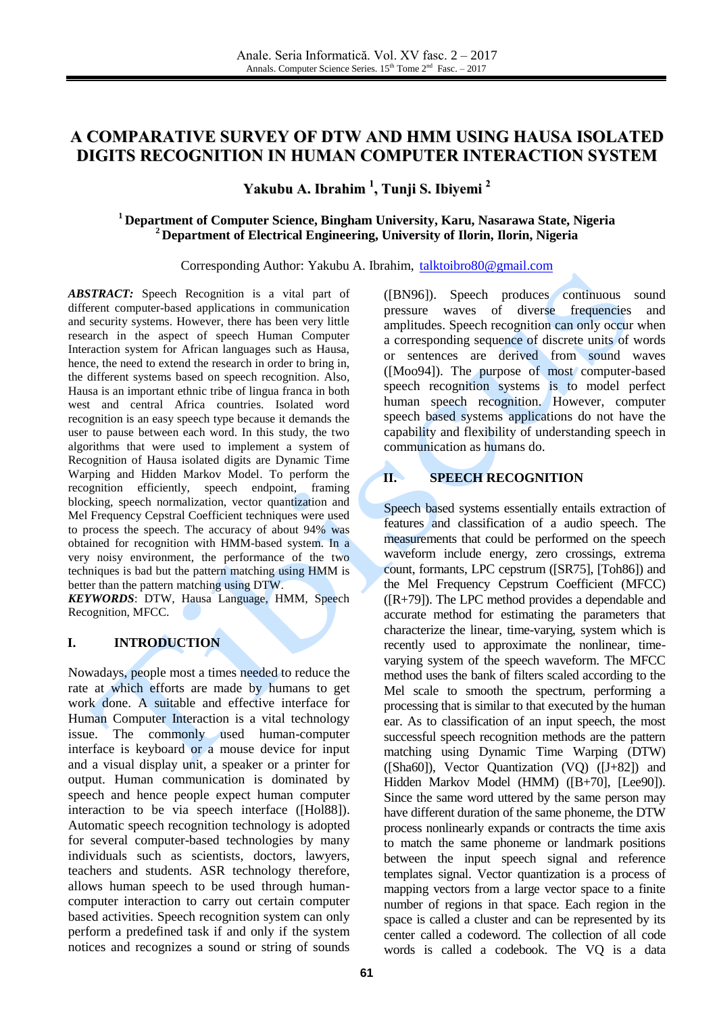# **A COMPARATIVE SURVEY OF DTW AND HMM USING HAUSA ISOLATED DIGITS RECOGNITION IN HUMAN COMPUTER INTERACTION SYSTEM**

**Yakubu A. Ibrahim 1 , Tunji S. Ibiyemi 2**

## **<sup>1</sup> Department of Computer Science, Bingham University, Karu, Nasarawa State, Nigeria <sup>2</sup> Department of Electrical Engineering, University of Ilorin, Ilorin, Nigeria**

Corresponding Author: Yakubu A. Ibrahim, [talktoibro80@gmail.com](mailto:talktoibro80@gmail.com)

*ABSTRACT:* Speech Recognition is a vital part of different computer-based applications in communication and security systems. However, there has been very little research in the aspect of speech Human Computer Interaction system for African languages such as Hausa, hence, the need to extend the research in order to bring in, the different systems based on speech recognition. Also, Hausa is an important ethnic tribe of lingua franca in both west and central Africa countries. Isolated word recognition is an easy speech type because it demands the user to pause between each word. In this study, the two algorithms that were used to implement a system of Recognition of Hausa isolated digits are Dynamic Time Warping and Hidden Markov Model. To perform the recognition efficiently, speech endpoint, framing blocking, speech normalization, vector quantization and Mel Frequency Cepstral Coefficient techniques were used to process the speech. The accuracy of about 94% was obtained for recognition with HMM-based system. In a very noisy environment, the performance of the two techniques is bad but the pattern matching using HMM is better than the pattern matching using DTW.

*KEYWORDS*: DTW, Hausa Language, HMM, Speech Recognition, MFCC.

### **I. INTRODUCTION**

Nowadays, people most a times needed to reduce the rate at which efforts are made by humans to get work done. A suitable and effective interface for Human Computer Interaction is a vital technology issue. The commonly used human-computer interface is keyboard or a mouse device for input and a visual display unit, a speaker or a printer for output. Human communication is dominated by speech and hence people expect human computer interaction to be via speech interface ([Hol88]). Automatic speech recognition technology is adopted for several computer-based technologies by many individuals such as scientists, doctors, lawyers, teachers and students. ASR technology therefore, allows human speech to be used through humancomputer interaction to carry out certain computer based activities. Speech recognition system can only perform a predefined task if and only if the system notices and recognizes a sound or string of sounds

([BN96]). Speech produces continuous sound pressure waves of diverse frequencies and amplitudes. Speech recognition can only occur when a corresponding sequence of discrete units of words or sentences are derived from sound waves ([Moo94]). The purpose of most computer-based speech recognition systems is to model perfect human speech recognition. However, computer speech based systems applications do not have the capability and flexibility of understanding speech in communication as humans do.

## **II. SPEECH RECOGNITION**

Speech based systems essentially entails extraction of features and classification of a audio speech. The measurements that could be performed on the speech waveform include energy, zero crossings, extrema count, formants, LPC cepstrum ([SR75], [Toh86]) and the Mel Frequency Cepstrum Coefficient (MFCC)  $([R+79])$ . The LPC method provides a dependable and accurate method for estimating the parameters that characterize the linear, time-varying, system which is recently used to approximate the nonlinear, timevarying system of the speech waveform. The MFCC method uses the bank of filters scaled according to the Mel scale to smooth the spectrum, performing a processing that is similar to that executed by the human ear. As to classification of an input speech, the most successful speech recognition methods are the pattern matching using Dynamic Time Warping (DTW) ([Sha60]), Vector Quantization (VQ) ([J+82]) and Hidden Markov Model (HMM) ([B+70], [Lee90]). Since the same word uttered by the same person may have different duration of the same phoneme, the DTW process nonlinearly expands or contracts the time axis to match the same phoneme or landmark positions between the input speech signal and reference templates signal. Vector quantization is a process of mapping vectors from a large vector space to a finite number of regions in that space. Each region in the space is called a cluster and can be represented by its center called a codeword. The collection of all code words is called a codebook. The VQ is a data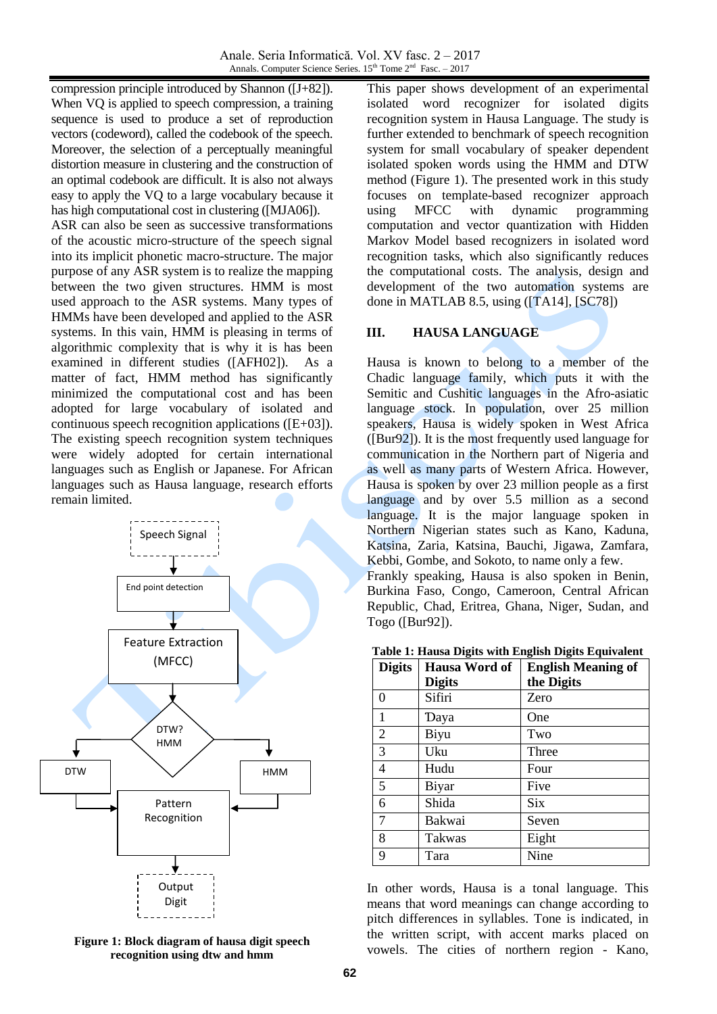compression principle introduced by Shannon ([J+82]). When VQ is applied to speech compression, a training sequence is used to produce a set of reproduction vectors (codeword), called the codebook of the speech. Moreover, the selection of a perceptually meaningful distortion measure in clustering and the construction of an optimal codebook are difficult. It is also not always easy to apply the VQ to a large vocabulary because it has high computational cost in clustering ([MJA06]).

ASR can also be seen as successive transformations of the acoustic micro-structure of the speech signal into its implicit phonetic macro-structure. The major purpose of any ASR system is to realize the mapping between the two given structures. HMM is most used approach to the ASR systems. Many types of HMMs have been developed and applied to the ASR systems. In this vain, HMM is pleasing in terms of algorithmic complexity that is why it is has been examined in different studies ([AFH02]). As a matter of fact, HMM method has significantly minimized the computational cost and has been adopted for large vocabulary of isolated and continuous speech recognition applications ([E+03]). The existing speech recognition system techniques were widely adopted for certain international languages such as English or Japanese. For African languages such as Hausa language, research efforts remain limited.



**Figure 1: Block diagram of hausa digit speech recognition using dtw and hmm**

This paper shows development of an experimental isolated word recognizer for isolated digits recognition system in Hausa Language. The study is further extended to benchmark of speech recognition system for small vocabulary of speaker dependent isolated spoken words using the HMM and DTW method (Figure 1). The presented work in this study focuses on template-based recognizer approach using MFCC with dynamic programming computation and vector quantization with Hidden Markov Model based recognizers in isolated word recognition tasks, which also significantly reduces the computational costs. The analysis, design and development of the two automation systems are done in MATLAB 8.5, using ([TA14], [SC78])

## **III. HAUSA LANGUAGE**

Hausa is known to belong to a member of the Chadic language family, which puts it with the Semitic and Cushitic languages in the Afro-asiatic language stock. In population, over 25 million speakers, Hausa is widely spoken in West Africa ([Bur92]). It is the most frequently used language for communication in the Northern part of Nigeria and as well as many parts of Western Africa. However, Hausa is spoken by over 23 million people as a first language and by over 5.5 million as a second language. It is the major language spoken in Northern Nigerian states such as Kano, Kaduna, Katsina, Zaria, Katsina, Bauchi, Jigawa, Zamfara, Kebbi, Gombe, and Sokoto, to name only a few.

Frankly speaking, Hausa is also spoken in Benin, Burkina Faso, Congo, Cameroon, Central African Republic, Chad, Eritrea, Ghana, Niger, Sudan, and Togo ([Bur92]).

| <b>Digits</b>  | Hausa Word of | <b>English Meaning of</b> |
|----------------|---------------|---------------------------|
|                | <b>Digits</b> | the Digits                |
| 0              | Sifiri        | Zero                      |
| 1              | Daya          | One                       |
| $\overline{2}$ | Biyu          | Two                       |
| $\overline{3}$ | Uku           | Three                     |
| $\overline{4}$ | Hudu          | Four                      |
| 5              | Biyar         | Five                      |
| 6              | Shida         | <b>Six</b>                |
| $\overline{7}$ | Bakwai        | Seven                     |
| 8              | Takwas        | Eight                     |
| 9              | Tara          | Nine                      |

**Table 1: Hausa Digits with English Digits Equivalent**

In other words, Hausa is a tonal language. This means that word meanings can change according to pitch differences in syllables. Tone is indicated, in the written script, with accent marks placed on vowels. The cities of northern region - Kano,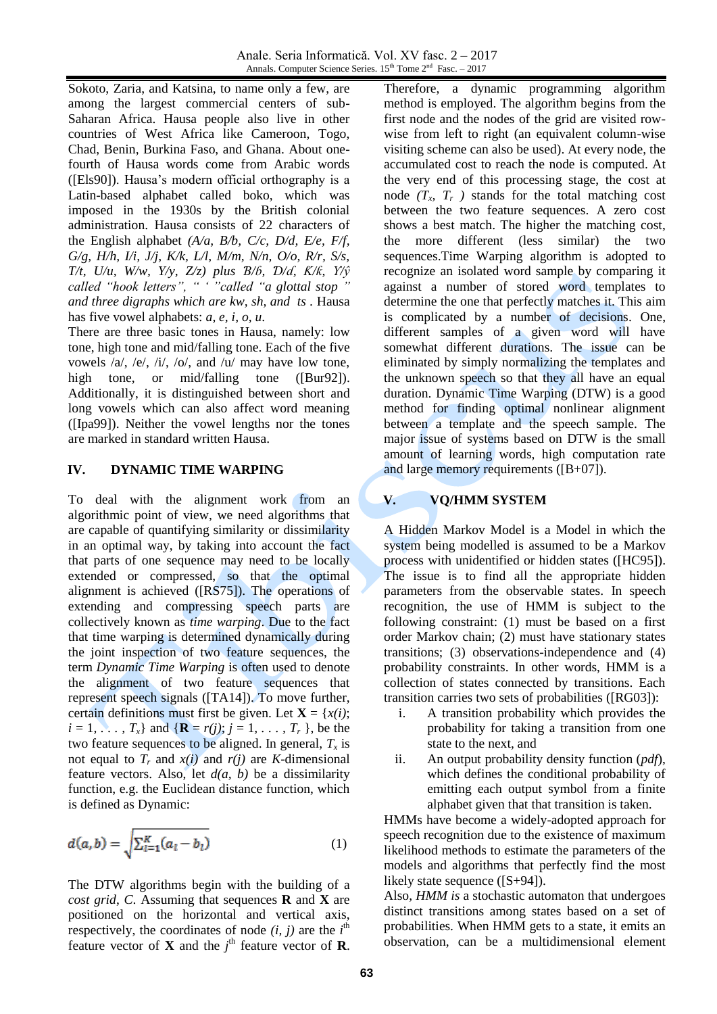Anale. Seria Informatică. Vol. XV fasc. 2 – 2017 Annals. Computer Science Series.  $15<sup>th</sup>$  Tome  $2<sup>nd</sup>$  Fasc.  $-2017$ 

Sokoto, Zaria, and Katsina, to name only a few, are among the largest commercial centers of sub-Saharan Africa. Hausa people also live in other countries of West Africa like Cameroon, Togo, Chad, Benin, Burkina Faso, and Ghana. About onefourth of Hausa words come from Arabic words ([Els90]). Hausa's modern official orthography is a Latin-based alphabet called boko, which was imposed in the 1930s by the British colonial administration. Hausa consists of 22 characters of the English alphabet *(A/a, B/b, C/c, D/d, E/e, F/f, G/g, H/h, I/i, J/j, K/k, L/l, M/m, N/n, O/o, R/r, S/s, T/t, U/u, W/w, Y/y, Z/z) plus Ɓ/ɓ, Ɗ/ɗ, Ƙ/ƙ, Ƴ/ŷ called "hook letters", " ' "called "a glottal stop " and three digraphs which are kw, sh, and ts .* Hausa has five vowel alphabets: *a, e, i, o, u*.

There are three basic tones in Hausa, namely: low tone, high tone and mid/falling tone. Each of the five vowels  $\langle a \rangle$ ,  $\langle e \rangle$ ,  $\langle i \rangle$ ,  $\langle o \rangle$ , and  $\langle u \rangle$  may have low tone, high tone, or mid/falling tone ([Bur92]). Additionally, it is distinguished between short and long vowels which can also affect word meaning ([Ipa99]). Neither the vowel lengths nor the tones are marked in standard written Hausa.

#### **IV. DYNAMIC TIME WARPING**

To deal with the alignment work from an algorithmic point of view, we need algorithms that are capable of quantifying similarity or dissimilarity in an optimal way, by taking into account the fact that parts of one sequence may need to be locally extended or compressed, so that the optimal alignment is achieved ([RS75]). The operations of extending and compressing speech parts are collectively known as *time warping*. Due to the fact that time warping is determined dynamically during the joint inspection of two feature sequences, the term *Dynamic Time Warping* is often used to denote the alignment of two feature sequences that represent speech signals ([TA14]). To move further, certain definitions must first be given. Let  $X = \{x(i);$  $i = 1, \ldots, T_x$  and  $\{ \mathbf{R} = r(j); j = 1, \ldots, T_r \}$ , be the two feature sequences to be aligned. In general,  $T_x$  is not equal to  $T_r$  and  $x(i)$  and  $r(j)$  are *K*-dimensional feature vectors. Also, let *d(a, b)* be a dissimilarity function, e.g. the Euclidean distance function, which is defined as Dynamic:

$$
d(a,b) = \sqrt{\sum_{l=1}^{K} (a_l - b_l)}
$$
 (1)

The DTW algorithms begin with the building of a *cost grid*, *C*. Assuming that sequences **R** and **X** are positioned on the horizontal and vertical axis, respectively, the coordinates of node  $(i, j)$  are the  $i<sup>th</sup>$ feature vector of **X** and the  $j^{\text{th}}$  feature vector of **R**. Therefore, a dynamic programming algorithm method is employed. The algorithm begins from the first node and the nodes of the grid are visited rowwise from left to right (an equivalent column-wise visiting scheme can also be used). At every node, the accumulated cost to reach the node is computed. At the very end of this processing stage, the cost at node  $(T_x, T_y)$  stands for the total matching cost between the two feature sequences. A zero cost shows a best match. The higher the matching cost, the more different (less similar) the two sequences.Time Warping algorithm is adopted to recognize an isolated word sample by comparing it against a number of stored word templates to determine the one that perfectly matches it. This aim is complicated by a number of decisions. One, different samples of a given word will have somewhat different durations. The issue can be eliminated by simply normalizing the templates and the unknown speech so that they all have an equal duration. Dynamic Time Warping (DTW) is a good method for finding optimal nonlinear alignment between a template and the speech sample. The major issue of systems based on DTW is the small amount of learning words, high computation rate and large memory requirements ([B+07]).

#### **V. VQ/HMM SYSTEM**

A Hidden Markov Model is a Model in which the system being modelled is assumed to be a Markov process with unidentified or hidden states ([HC95]). The issue is to find all the appropriate hidden parameters from the observable states. In speech recognition, the use of HMM is subject to the following constraint: (1) must be based on a first order Markov chain; (2) must have stationary states transitions; (3) observations-independence and (4) probability constraints. In other words, HMM is a collection of states connected by transitions. Each transition carries two sets of probabilities ([RG03]):

- i. A transition probability which provides the probability for taking a transition from one state to the next, and
- ii. An output probability density function (*pdf*), which defines the conditional probability of emitting each output symbol from a finite alphabet given that that transition is taken.

HMMs have become a widely-adopted approach for speech recognition due to the existence of maximum likelihood methods to estimate the parameters of the models and algorithms that perfectly find the most likely state sequence ([S+94]).

Also, *HMM is* a stochastic automaton that undergoes distinct transitions among states based on a set of probabilities. When HMM gets to a state, it emits an observation, can be a multidimensional element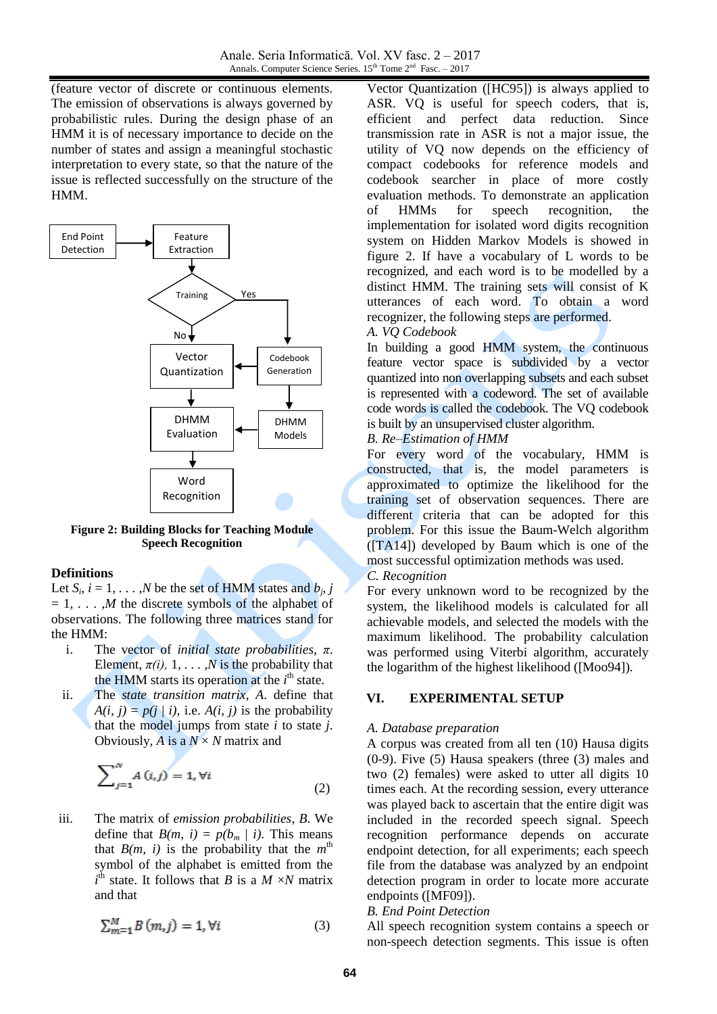(feature vector of discrete or continuous elements. The emission of observations is always governed by probabilistic rules. During the design phase of an HMM it is of necessary importance to decide on the number of states and assign a meaningful stochastic interpretation to every state, so that the nature of the issue is reflected successfully on the structure of the HMM.



**Figure 2: Building Blocks for Teaching Module**  m **Speech Recognition** mi **ichl** 

#### **Definitions**

Let  $S_i$ ,  $i = 1, \ldots, N$  be the set of HMM states and  $b_j$ , j  $= 1, \ldots, M$  the discrete symbols of the alphabet of  $\alpha$ ,  $\beta$ ,  $\beta$ ,  $\beta$  are discrete by most of the uphaset of observations. The following three matrices stand for the HMM: he set of HMM

- i. The vector of *initial state probabilities*, π. Element,  $\pi(i)$ , 1, ..., N is the probability that the HMM starts its operation at the  $i<sup>th</sup>$  state.
- ii. The *state transition matrix*, *A*. define that  $A(i, j) = p(j | i)$ , i.e.  $A(i, j)$  is the probability that the model jumps from state *i* to state *j*. Obviously, *A* is a  $N \times N$  matrix and

$$
\sum_{j=1}^{N} A(i,j) = 1, \forall i
$$
 (2)

iii. The matrix of *emission probabilities*, *B*. We define that  $B(m, i) = p(b_m | i)$ . This means that  $B(m, i)$  is the probability that the  $m<sup>th</sup>$ symbol of the alphabet is emitted from the  $i^{\text{th}}$  state. It follows that *B* is a *M ×N* matrix and that

$$
\sum_{m=1}^{M} B(m, j) = 1, \forall i \tag{3}
$$

Vector Quantization ([HC95]) is always applied to ASR. VQ is useful for speech coders, that is, efficient and perfect data reduction. Since transmission rate in ASR is not a major issue, the utility of VQ now depends on the efficiency of compact codebooks for reference models and codebook searcher in place of more costly evaluation methods. To demonstrate an application of HMMs for speech recognition, the implementation for isolated word digits recognition system on Hidden Markov Models is showed in figure 2. If have a vocabulary of L words to be recognized, and each word is to be modelled by a distinct HMM. The training sets will consist of K utterances of each word. To obtain a word recognizer, the following steps are performed.

### *A. VQ Codebook*

In building a good HMM system, the continuous feature vector space is subdivided by a vector quantized into non overlapping subsets and each subset is represented with a codeword. The set of available code words is called the codebook. The VQ codebook is built by an unsupervised cluster algorithm.

### *B. Re–Estimation of HMM*

For every word of the vocabulary, HMM is constructed, that is, the model parameters is approximated to optimize the likelihood for the training set of observation sequences. There are different criteria that can be adopted for this problem. For this issue the Baum-Welch algorithm ([TA14]) developed by Baum which is one of the most successful optimization methods was used.

### *C. Recognition*

For every unknown word to be recognized by the system, the likelihood models is calculated for all achievable models, and selected the models with the maximum likelihood. The probability calculation was performed using Viterbi algorithm, accurately the logarithm of the highest likelihood ([Moo94]).

## **VI. EXPERIMENTAL SETUP**

### *A. Database preparation*

A corpus was created from all ten (10) Hausa digits (0-9). Five (5) Hausa speakers (three (3) males and two (2) females) were asked to utter all digits 10 times each. At the recording session, every utterance was played back to ascertain that the entire digit was included in the recorded speech signal. Speech recognition performance depends on accurate endpoint detection, for all experiments; each speech file from the database was analyzed by an endpoint detection program in order to locate more accurate endpoints ([MF09]).

### *B. End Point Detection*

All speech recognition system contains a speech or non-speech detection segments. This issue is often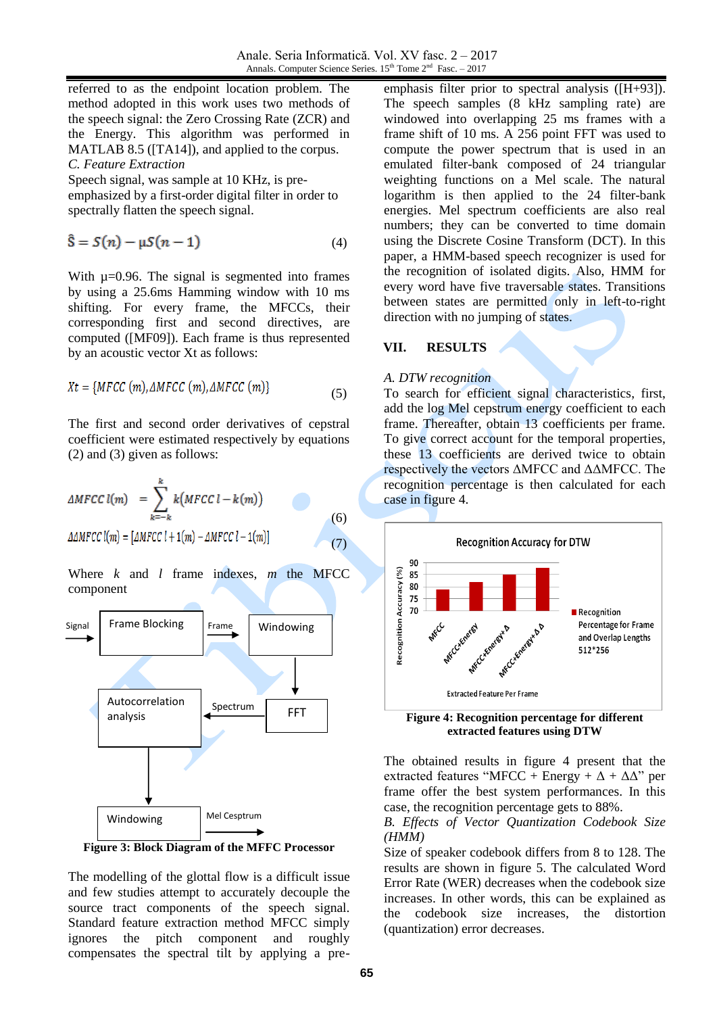referred to as the endpoint location problem. The method adopted in this work uses two methods of the speech signal: the Zero Crossing Rate (ZCR) and the Energy. This algorithm was performed in MATLAB 8.5 ([TA14]), and applied to the corpus. *C. Feature Extraction*

Speech signal, was sample at 10 KHz, is preemphasized by a first-order digital filter in order to spectrally flatten the speech signal.

$$
\hat{\mathbf{S}} = S(n) - \mu S(n-1) \tag{4}
$$

With  $\mu$ =0.96. The signal is segmented into frames by using a 25.6ms Hamming window with 10 ms shifting. For every frame, the MFCCs, their corresponding first and second directives, are computed ([MF09]). Each frame is thus represented by an acoustic vector Xt as follows:

$$
Xt = \{MFCC(m), \Delta MFCC(m), \Delta MFCC(m)\}\tag{5}
$$

The first and second order derivatives of cepstral coefficient were estimated respectively by equations (2) and (3) given as follows:

$$
\Delta MFCC l(m) = \sum_{k=-k}^{k} k(MFCC l - k(m))
$$
\n
$$
\Delta \Delta MFCC l(m) = [\Delta MFCC l + 1(m) - \Delta MFCC l - 1(m)]
$$
\n(6)

Where *k* and *l* frame indexes, *m* the MFCC component



**Figure 3: Block Diagram of the MFFC Processor**

The modelling of the glottal flow is a difficult issue and few studies attempt to accurately decouple the source tract components of the speech signal. Standard feature extraction method MFCC simply ignores the pitch component and roughly compensates the spectral tilt by applying a preemphasis filter prior to spectral analysis ([H+93]). The speech samples (8 kHz sampling rate) are windowed into overlapping 25 ms frames with a frame shift of 10 ms. A 256 point FFT was used to compute the power spectrum that is used in an emulated filter-bank composed of 24 triangular weighting functions on a Mel scale. The natural logarithm is then applied to the 24 filter-bank energies. Mel spectrum coefficients are also real numbers; they can be converted to time domain using the Discrete Cosine Transform (DCT). In this paper, a HMM-based speech recognizer is used for the recognition of isolated digits. Also, HMM for every word have five traversable states. Transitions between states are permitted only in left-to-right direction with no jumping of states.

### **VII. RESULTS**

#### *A. DTW recognition*

To search for efficient signal characteristics, first, add the log Mel cepstrum energy coefficient to each frame. Thereafter, obtain 13 coefficients per frame. To give correct account for the temporal properties, these 13 coefficients are derived twice to obtain respectively the vectors ΔMFCC and ΔΔMFCC. The recognition percentage is then calculated for each case in figure 4.



**extracted features using DTW**

The obtained results in figure 4 present that the extracted features "MFCC + Energy +  $\Delta$  +  $\Delta\Delta$ " per frame offer the best system performances. In this case, the recognition percentage gets to 88%.

### *B. Effects of Vector Quantization Codebook Size (HMM)*

Size of speaker codebook differs from 8 to 128. The results are shown in figure 5. The calculated Word Error Rate (WER) decreases when the codebook size increases. In other words, this can be explained as the codebook size increases, the distortion (quantization) error decreases.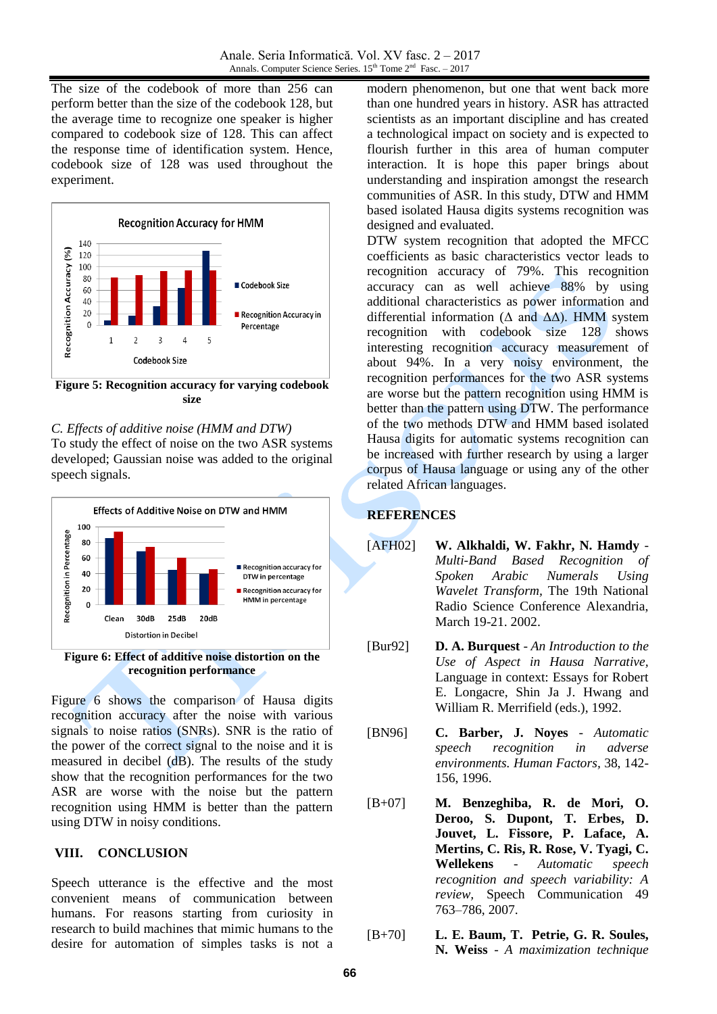The size of the codebook of more than 256 can perform better than the size of the codebook 128, but the average time to recognize one speaker is higher compared to codebook size of 128. This can affect the response time of identification system. Hence, codebook size of 128 was used throughout the experiment.



**Figure 5: Recognition accuracy for varying codebook size**

*C. Effects of additive noise (HMM and DTW)* To study the effect of noise on the two ASR systems

developed; Gaussian noise was added to the original speech signals.



**Figure 6: Effect of additive noise distortion on the recognition performance**

Figure 6 shows the comparison of Hausa digits recognition accuracy after the noise with various signals to noise ratios (SNRs). SNR is the ratio of the power of the correct signal to the noise and it is measured in decibel (dB). The results of the study show that the recognition performances for the two ASR are worse with the noise but the pattern recognition using HMM is better than the pattern using DTW in noisy conditions.

## **VIII. CONCLUSION**

Speech utterance is the effective and the most convenient means of communication between humans. For reasons starting from curiosity in research to build machines that mimic humans to the desire for automation of simples tasks is not a modern phenomenon, but one that went back more than one hundred years in history. ASR has attracted scientists as an important discipline and has created a technological impact on society and is expected to flourish further in this area of human computer interaction. It is hope this paper brings about understanding and inspiration amongst the research communities of ASR. In this study, DTW and HMM based isolated Hausa digits systems recognition was designed and evaluated.

DTW system recognition that adopted the MFCC coefficients as basic characteristics vector leads to recognition accuracy of 79%. This recognition accuracy can as well achieve 88% by using additional characteristics as power information and differential information ( $\Delta$  and  $\Delta\Delta$ ). HMM system recognition with codebook size 128 shows interesting recognition accuracy measurement of about 94%. In a very noisy environment, the recognition performances for the two ASR systems are worse but the pattern recognition using HMM is better than the pattern using DTW. The performance of the two methods DTW and HMM based isolated Hausa digits for automatic systems recognition can be increased with further research by using a larger corpus of Hausa language or using any of the other related African languages.

## **REFERENCES**

- [AFH02] **W. Alkhaldi, W. Fakhr, N. Hamdy** *Multi-Band Based Recognition of Spoken Arabic Numerals Using Wavelet Transform,* The 19th National Radio Science Conference Alexandria, March 19-21. 2002.
- [Bur92] **D. A. Burquest** *An Introduction to the Use of Aspect in Hausa Narrative,* Language in context: Essays for Robert E. Longacre, Shin Ja J. Hwang and William R. Merrifield (eds.), 1992.
- [BN96] **C. Barber, J. Noyes** *Automatic speech recognition in adverse environments. Human Factors,* 38, 142- 156, 1996.
- [B+07] **M. Benzeghiba, R. de Mori, O. Deroo, S. Dupont, T. Erbes, D. Jouvet, L. Fissore, P. Laface, A. Mertins, C. Ris, R. Rose, V. Tyagi, C. Wellekens** - *Automatic speech recognition and speech variability: A review,* Speech Communication 49 763–786, 2007.
- [B+70] **L. E. Baum, T. Petrie, G. R. Soules, N. Weiss** - *A maximization technique*